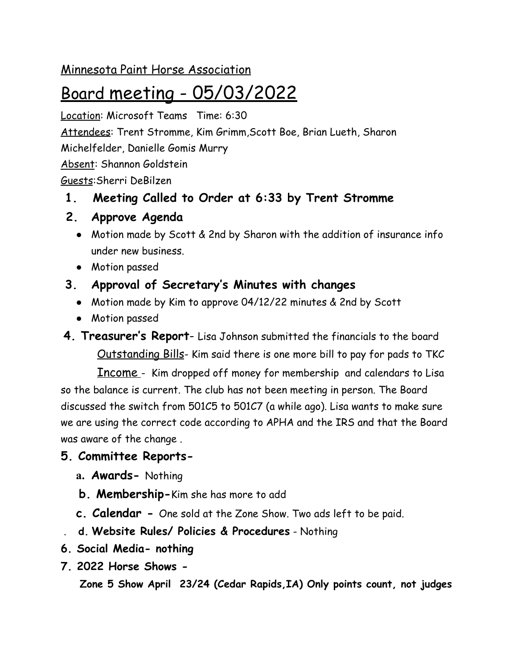### Minnesota Paint Horse Association

# Board meeting - 05/03/2022

Location: Microsoft Teams Time: 6:30 Attendees: Trent Stromme, Kim Grimm,Scott Boe, Brian Lueth, Sharon Michelfelder, Danielle Gomis Murry Absent: Shannon Goldstein Guests:Sherri DeBilzen

## **1. Meeting Called to Order at 6:33 by Trent Stromme**

- **2. Approve Agenda**
	- Motion made by Scott & 2nd by Sharon with the addition of insurance info under new business.
	- Motion passed

# **3. Approval of Secretary's Minutes with changes**

- Motion made by Kim to approve 04/12/22 minutes & 2nd by Scott
- Motion passed

**4. Treasurer's Report**- Lisa Johnson submitted the financials to the board Outstanding Bills- Kim said there is one more bill to pay for pads to TKC

Income - Kim dropped off money for membership and calendars to Lisa so the balance is current. The club has not been meeting in person. The Board discussed the switch from 501C5 to 501C7 (a while ago). Lisa wants to make sure we are using the correct code according to APHA and the IRS and that the Board was aware of the change .

## **5. Committee Reports-**

- **a. Awards-** Nothing
- **b. Membership-**Kim she has more to add
- **c. Calendar -** One sold at the Zone Show. Two ads left to be paid.
- . **d. Website Rules/ Policies & Procedures** Nothing
- **6. Social Media- nothing**
- **7. 2022 Horse Shows -**

**Zone 5 Show April 23/24 (Cedar Rapids,IA) Only points count, not judges**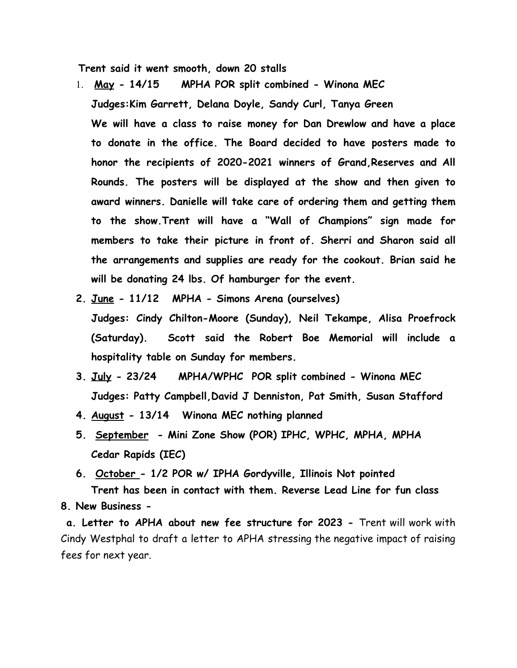**Trent said it went smooth, down 20 stalls**

- 1. **May 14/15 MPHA POR split combined Winona MEC Judges:Kim Garrett, Delana Doyle, Sandy Curl, Tanya Green We will have a class to raise money for Dan Drewlow and have a place to donate in the office. The Board decided to have posters made to honor the recipients of 2020-2021 winners of Grand,Reserves and All Rounds. The posters will be displayed at the show and then given to award winners. Danielle will take care of ordering them and getting them to the show.Trent will have a "Wall of Champions" sign made for members to take their picture in front of. Sherri and Sharon said all the arrangements and supplies are ready for the cookout. Brian said he will be donating 24 lbs. Of hamburger for the event.**
- **2. June 11/12 MPHA Simons Arena (ourselves) Judges: Cindy Chilton-Moore (Sunday), Neil Tekampe, Alisa Proefrock (Saturday). Scott said the Robert Boe Memorial will include a hospitality table on Sunday for members.**
- **3. July 23/24 MPHA/WPHC POR split combined Winona MEC Judges: Patty Campbell,David J Denniston, Pat Smith, Susan Stafford**
- **4. August 13/14 Winona MEC nothing planned**
- **5. September Mini Zone Show (POR) IPHC, WPHC, MPHA, MPHA Cedar Rapids (IEC)**
- **6. October 1/2 POR w/ IPHA Gordyville, Illinois Not pointed Trent has been in contact with them. Reverse Lead Line for fun class 8. New Business -**

**a. Letter to APHA about new fee structure for 2023 -** Trent will work with Cindy Westphal to draft a letter to APHA stressing the negative impact of raising fees for next year.